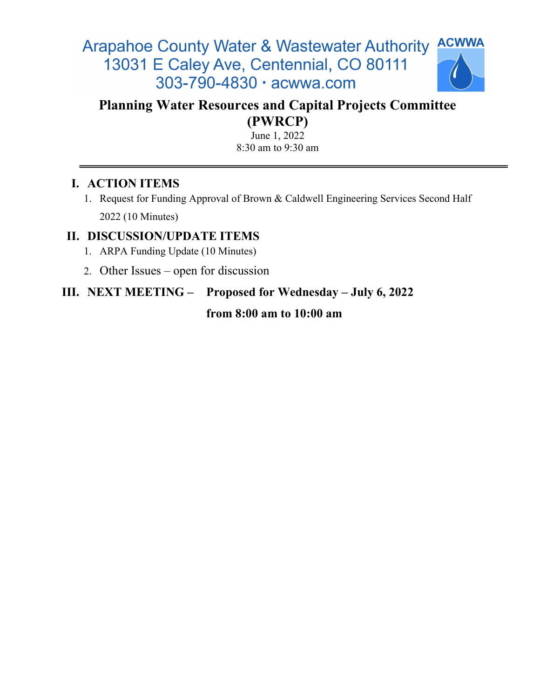#### **ACWWA Arapahoe County Water & Wastewater Authority** 13031 E Caley Ave, Centennial, CO 80111 303-790-4830 · acwwa.com



## Planning Water Resources and Capital Projects Committee (PWRCP)

June 1, 2022 8:30 am to 9:30 am

## I. ACTION ITEMS

1. Request for Funding Approval of Brown & Caldwell Engineering Services Second Half 2022 (10 Minutes)

### II. DISCUSSION/UPDATE ITEMS

- 1. ARPA Funding Update (10 Minutes)
- 2. Other Issues open for discussion

# III. NEXT MEETING – Proposed for Wednesday – July 6, 2022

#### from 8:00 am to 10:00 am